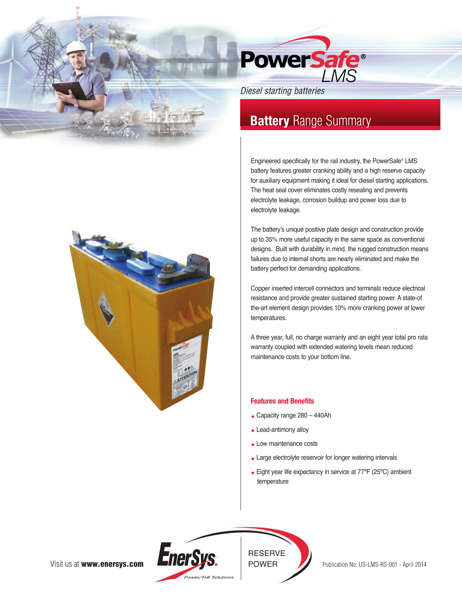

## *Diesel starting batteries*

# **Battery** Range Summary

Engineered specifically for the rail industry, the PowerSafe® LMS battery features greater cranking ability and a high reserve capacity for auxiliary equipment making it ideal for diesel starting applications. The heat seal cover eliminates costly resealing and prevents electrolyte leakage, corrosion buildup and power loss due to electrolyte leakage.

The battery's unique positive plate design and construction provide up to 35% more useful capacity in the same space as conventional designs. Built with durability in mind, the rugged construction means failures due to internal shorts are nearly eliminated and make the battery perfect for demanding applications.

Copper inserted intercell connectors and terminals reduce electrical resistance and provide greater sustained starting power. A state-of the-art element design provides 10% more cranking power at lower temperatures.

A three year, full, no charge warranty and an eight year total pro rata warranty coupled with extended watering levels mean reduced maintenance costs to your bottom line.

### **Features and Benefits**

- Capacity range 280 440Ah
- Lead-antimony alloy
- Low maintenance costs
- Large electrolyte reservoir for longer watering intervals
- Eight year life expectancy in service at 77ºF (25ºC) ambient temperature



Visit us at **www.enersys.com**